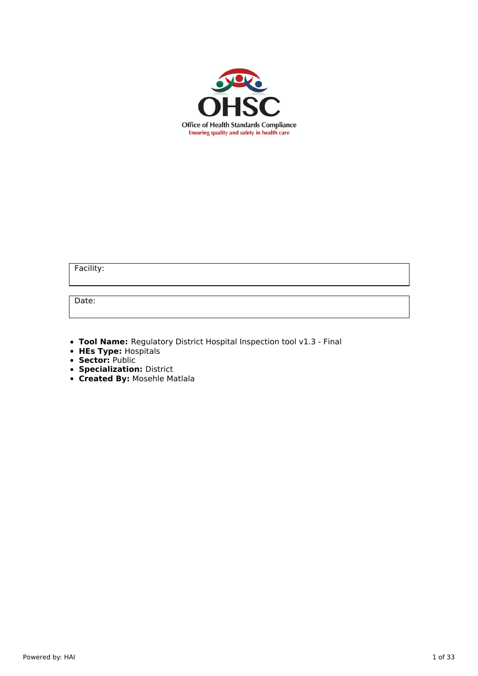

Facility:

Date:

**Tool Name:** Regulatory District Hospital Inspection tool v1.3 - Final

- **HEs Type:** Hospitals
- **Sector:** Public
- **Specialization:** District
- **Created By:** Mosehle Matlala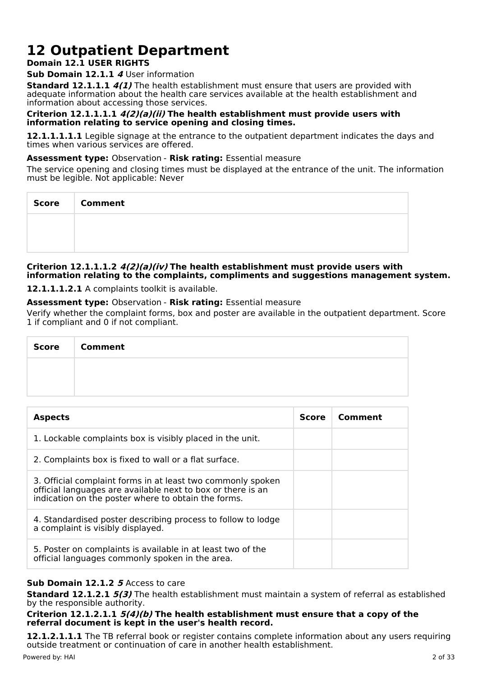# **12 Outpatient Department**

# **Domain 12.1 USER RIGHTS**

# **Sub Domain 12.1.1 4** User information

**Standard 12.1.1.1 4(1)** The health establishment must ensure that users are provided with adequate information about the health care services available at the health establishment and information about accessing those services.

# **Criterion 12.1.1.1.1 4(2)(a)(ii) The health establishment must provide users with information relating to service opening and closing times.**

**12.1.1.1.1.1** Legible signage at the entrance to the outpatient department indicates the days and times when various services are offered.

# **Assessment type:** Observation - **Risk rating:** Essential measure

The service opening and closing times must be displayed at the entrance of the unit. The information must be legible. Not applicable: Never

| Score | <b>Comment</b> |
|-------|----------------|
|       |                |
|       |                |

# **Criterion 12.1.1.1.2 4(2)(a)(iv) The health establishment must provide users with information relating to the complaints, compliments and suggestions management system.**

**12.1.1.1.2.1** A complaints toolkit is available.

# **Assessment type:** Observation - **Risk rating:** Essential measure

Verify whether the complaint forms, box and poster are available in the outpatient department. Score 1 if compliant and 0 if not compliant.

| Score   Comment |
|-----------------|
|                 |
|                 |

| <b>Aspects</b>                                                                                                                                                                    | <b>Score</b> | Comment |
|-----------------------------------------------------------------------------------------------------------------------------------------------------------------------------------|--------------|---------|
| 1. Lockable complaints box is visibly placed in the unit.                                                                                                                         |              |         |
| 2. Complaints box is fixed to wall or a flat surface.                                                                                                                             |              |         |
| 3. Official complaint forms in at least two commonly spoken<br>official languages are available next to box or there is an<br>indication on the poster where to obtain the forms. |              |         |
| 4. Standardised poster describing process to follow to lodge<br>a complaint is visibly displayed.                                                                                 |              |         |
| 5. Poster on complaints is available in at least two of the<br>official languages commonly spoken in the area.                                                                    |              |         |

# **Sub Domain 12.1.2 5** Access to care

**Standard 12.1.2.1 5(3)** The health establishment must maintain a system of referral as established by the responsible authority.

# **Criterion 12.1.2.1.1 5(4)(b) The health establishment must ensure that a copy of the referral document is kept in the user's health record.**

**12.1.2.1.1.1** The TB referral book or register contains complete information about any users requiring outside treatment or continuation of care in another health establishment.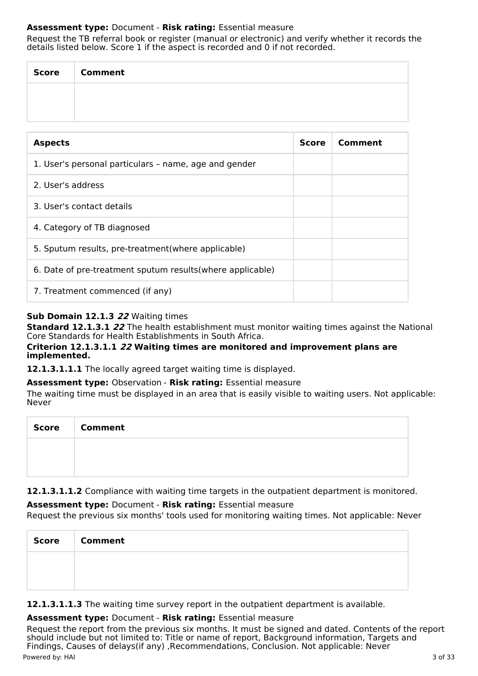# **Assessment type:** Document - **Risk rating:** Essential measure

Request the TB referral book or register (manual or electronic) and verify whether it records the details listed below. Score 1 if the aspect is recorded and 0 if not recorded.

| Score | <b>Comment</b> |
|-------|----------------|
|       |                |
|       |                |

| <b>Aspects</b>                                             | <b>Score</b> | Comment |
|------------------------------------------------------------|--------------|---------|
| 1. User's personal particulars - name, age and gender      |              |         |
| 2. User's address                                          |              |         |
| 3. User's contact details                                  |              |         |
| 4. Category of TB diagnosed                                |              |         |
| 5. Sputum results, pre-treatment (where applicable)        |              |         |
| 6. Date of pre-treatment sputum results (where applicable) |              |         |
| 7. Treatment commenced (if any)                            |              |         |

# **Sub Domain 12.1.3 22** Waiting times

**Standard 12.1.3.1 22** The health establishment must monitor waiting times against the National Core Standards for Health Establishments in South Africa.

# **Criterion 12.1.3.1.1 22 Waiting times are monitored and improvement plans are implemented.**

**12.1.3.1.1.1** The locally agreed target waiting time is displayed.

#### **Assessment type:** Observation - **Risk rating:** Essential measure

The waiting time must be displayed in an area that is easily visible to waiting users. Not applicable: Never

| Score   Comment |
|-----------------|
|                 |
|                 |

**12.1.3.1.1.2** Compliance with waiting time targets in the outpatient department is monitored.

# **Assessment type:** Document - **Risk rating:** Essential measure

Request the previous six months' tools used for monitoring waiting times. Not applicable: Never

| <b>Score</b> | <b>Comment</b> |
|--------------|----------------|
|              |                |
|              |                |

**12.1.3.1.1.3** The waiting time survey report in the outpatient department is available.

#### **Assessment type:** Document - **Risk rating:** Essential measure

Request the report from the previous six months. It must be signed and dated. Contents of the report should include but not limited to: Title or name of report, Background information, Targets and Findings, Causes of delays(if any) ,Recommendations, Conclusion. Not applicable: Never Powered by: HAI 3 of 33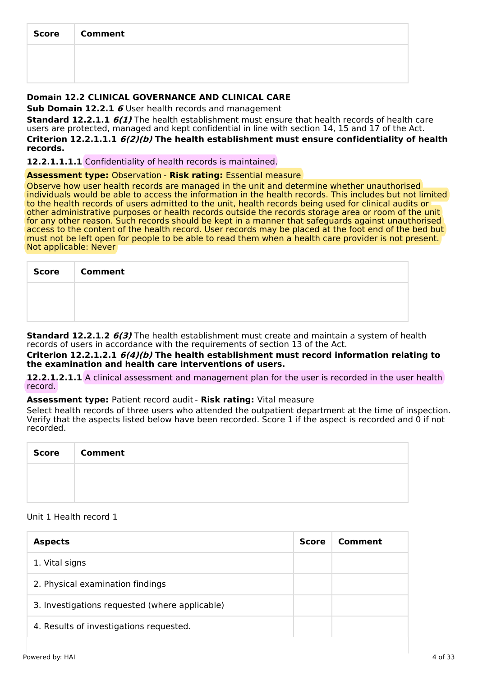| Score   Comment |
|-----------------|
|                 |
|                 |

# **Domain 12.2 CLINICAL GOVERNANCE AND CLINICAL CARE**

**Sub Domain 12.2.1 6** User health records and management

**Standard 12.2.1.1 6(1)** The health establishment must ensure that health records of health care users are protected, managed and kept confidential in line with section 14, 15 and 17 of the Act.

**Criterion 12.2.1.1.1 6(2)(b) The health establishment must ensure confidentiality of health records.**

**12.2.1.1.1.1** Confidentiality of health records is maintained.

#### **Assessment type:** Observation - **Risk rating:** Essential measure

Observe how user health records are managed in the unit and determine whether unauthorised individuals would be able to access the information in the health records. This includes but not limited to the health records of users admitted to the unit, health records being used for clinical audits or other administrative purposes or health records outside the records storage area or room of the unit for any other reason. Such records should be kept in a manner that safeguards against unauthorised access to the content of the health record. User records may be placed at the foot end of the bed but must not be left open for people to be able to read them when a health care provider is not present. Not applicable: Never

| <b>Score</b> | <b>Comment</b> |
|--------------|----------------|
|              |                |
|              |                |

**Standard 12.2.1.2 6(3)** The health establishment must create and maintain a system of health records of users in accordance with the requirements of section 13 of the Act.

**Criterion 12.2.1.2.1 6(4)(b) The health establishment must record information relating to the examination and health care interventions of users.**

**12.2.1.2.1.1** A clinical assessment and management plan for the user is recorded in the user health record.

**Assessment type:** Patient record audit - **Risk rating:** Vital measure

Select health records of three users who attended the outpatient department at the time of inspection. Verify that the aspects listed below have been recorded. Score 1 if the aspect is recorded and 0 if not recorded.

| <b>Score</b> | <b>Comment</b> |
|--------------|----------------|
|              |                |
|              |                |

# Unit 1 Health record 1

| <b>Aspects</b>                                 | <b>Score</b> | Comment |
|------------------------------------------------|--------------|---------|
| 1. Vital signs                                 |              |         |
| 2. Physical examination findings               |              |         |
| 3. Investigations requested (where applicable) |              |         |
| 4. Results of investigations requested.        |              |         |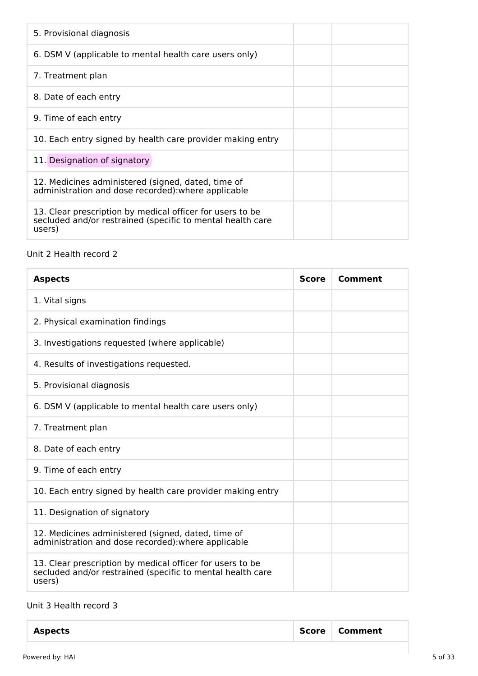| 5. Provisional diagnosis                                                                                                          |
|-----------------------------------------------------------------------------------------------------------------------------------|
| 6. DSM V (applicable to mental health care users only)                                                                            |
| 7. Treatment plan                                                                                                                 |
| 8. Date of each entry                                                                                                             |
| 9. Time of each entry                                                                                                             |
| 10. Each entry signed by health care provider making entry                                                                        |
| 11. Designation of signatory                                                                                                      |
| 12. Medicines administered (signed, dated, time of<br>administration and dose recorded): where applicable                         |
| 13. Clear prescription by medical officer for users to be<br>secluded and/or restrained (specific to mental health care<br>users) |

# Unit 2 Health record 2

| <b>Aspects</b>                                                                                                                    | <b>Score</b> | Comment |
|-----------------------------------------------------------------------------------------------------------------------------------|--------------|---------|
| 1. Vital signs                                                                                                                    |              |         |
| 2. Physical examination findings                                                                                                  |              |         |
| 3. Investigations requested (where applicable)                                                                                    |              |         |
| 4. Results of investigations requested.                                                                                           |              |         |
| 5. Provisional diagnosis                                                                                                          |              |         |
| 6. DSM V (applicable to mental health care users only)                                                                            |              |         |
| 7. Treatment plan                                                                                                                 |              |         |
| 8. Date of each entry                                                                                                             |              |         |
| 9. Time of each entry                                                                                                             |              |         |
| 10. Each entry signed by health care provider making entry                                                                        |              |         |
| 11. Designation of signatory                                                                                                      |              |         |
| 12. Medicines administered (signed, dated, time of<br>administration and dose recorded): where applicable                         |              |         |
| 13. Clear prescription by medical officer for users to be<br>secluded and/or restrained (specific to mental health care<br>users) |              |         |

# Unit 3 Health record 3

| <b>Aspects</b> | Score   Comment |
|----------------|-----------------|
|----------------|-----------------|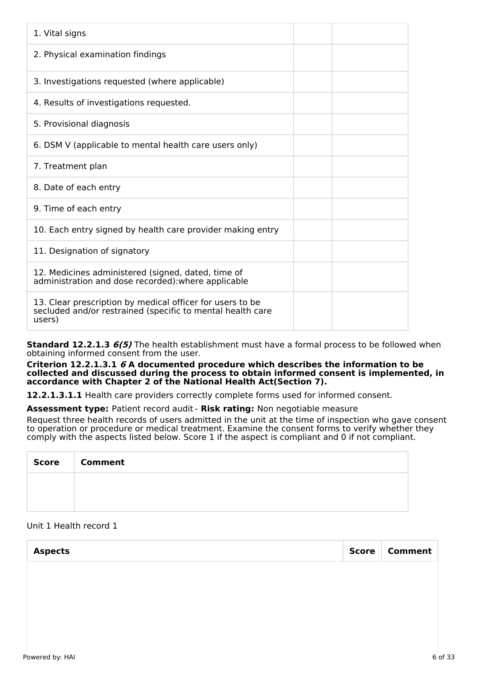| 1. Vital signs                                                                                                                    |
|-----------------------------------------------------------------------------------------------------------------------------------|
| 2. Physical examination findings                                                                                                  |
| 3. Investigations requested (where applicable)                                                                                    |
| 4. Results of investigations requested.                                                                                           |
| 5. Provisional diagnosis                                                                                                          |
| 6. DSM V (applicable to mental health care users only)                                                                            |
| 7. Treatment plan                                                                                                                 |
| 8. Date of each entry                                                                                                             |
| 9. Time of each entry                                                                                                             |
| 10. Each entry signed by health care provider making entry                                                                        |
| 11. Designation of signatory                                                                                                      |
| 12. Medicines administered (signed, dated, time of<br>administration and dose recorded): where applicable                         |
| 13. Clear prescription by medical officer for users to be<br>secluded and/or restrained (specific to mental health care<br>users) |

**Standard 12.2.1.3 6(5)** The health establishment must have a formal process to be followed when obtaining informed consent from the user.

**Criterion 12.2.1.3.1 6 A documented procedure which describes the information to be collected and discussed during the process to obtain informed consent is implemented, in accordance with Chapter 2 of the National Health Act(Section 7).**

**12.2.1.3.1.1** Health care providers correctly complete forms used for informed consent.

**Assessment type:** Patient record audit - **Risk rating:** Non negotiable measure

Request three health records of users admitted in the unit at the time of inspection who gave consent to operation or procedure or medical treatment. Examine the consent forms to verify whether they comply with the aspects listed below. Score 1 if the aspect is compliant and 0 if not compliant.

| <b>Score</b> | <b>Comment</b> |
|--------------|----------------|
|              |                |
|              |                |

# Unit 1 Health record 1

| <b>Aspects</b> |  | Score   Comment |
|----------------|--|-----------------|
|                |  |                 |
|                |  |                 |
|                |  |                 |
|                |  |                 |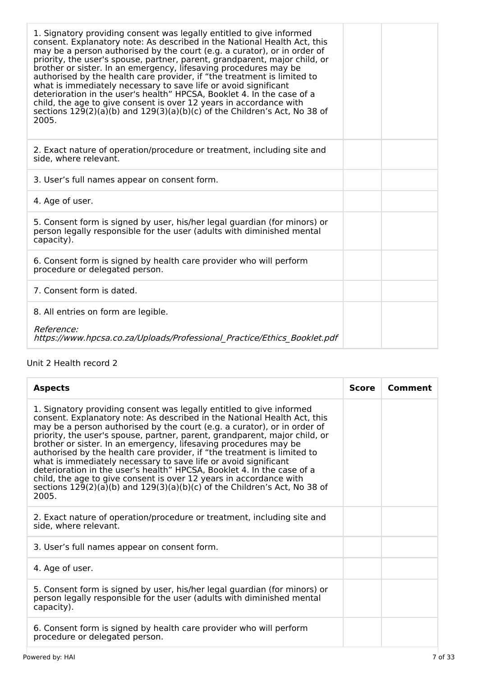| 1. Signatory providing consent was legally entitled to give informed<br>consent. Explanatory note: As described in the National Health Act, this<br>may be a person authorised by the court (e.g. a curator), or in order of<br>priority, the user's spouse, partner, parent, grandparent, major child, or<br>brother or sister. In an emergency, lifesaving procedures may be<br>authorised by the health care provider, if "the treatment is limited to<br>what is immediately necessary to save life or avoid significant<br>deterioration in the user's health" HPCSA, Booklet 4. In the case of a<br>child, the age to give consent is over 12 years in accordance with<br>sections $129(2)(a)(b)$ and $129(3)(a)(b)(c)$ of the Children's Act, No 38 of<br>2005. |  |
|------------------------------------------------------------------------------------------------------------------------------------------------------------------------------------------------------------------------------------------------------------------------------------------------------------------------------------------------------------------------------------------------------------------------------------------------------------------------------------------------------------------------------------------------------------------------------------------------------------------------------------------------------------------------------------------------------------------------------------------------------------------------|--|
| 2. Exact nature of operation/procedure or treatment, including site and<br>side, where relevant.                                                                                                                                                                                                                                                                                                                                                                                                                                                                                                                                                                                                                                                                       |  |
| 3. User's full names appear on consent form.                                                                                                                                                                                                                                                                                                                                                                                                                                                                                                                                                                                                                                                                                                                           |  |
| 4. Age of user.                                                                                                                                                                                                                                                                                                                                                                                                                                                                                                                                                                                                                                                                                                                                                        |  |
| 5. Consent form is signed by user, his/her legal guardian (for minors) or<br>person legally responsible for the user (adults with diminished mental<br>capacity).                                                                                                                                                                                                                                                                                                                                                                                                                                                                                                                                                                                                      |  |
| 6. Consent form is signed by health care provider who will perform<br>procedure or delegated person.                                                                                                                                                                                                                                                                                                                                                                                                                                                                                                                                                                                                                                                                   |  |
| 7. Consent form is dated.                                                                                                                                                                                                                                                                                                                                                                                                                                                                                                                                                                                                                                                                                                                                              |  |
| 8. All entries on form are legible.                                                                                                                                                                                                                                                                                                                                                                                                                                                                                                                                                                                                                                                                                                                                    |  |
| Reference:<br>https://www.hpcsa.co.za/Uploads/Professional Practice/Ethics Booklet.pdf                                                                                                                                                                                                                                                                                                                                                                                                                                                                                                                                                                                                                                                                                 |  |

# Unit 2 Health record 2

| <b>Aspects</b>                                                                                                                                                                                                                                                                                                                                                                                                                                                                                                                                                                                                                                                                                                                                                         | <b>Score</b> | Comment |
|------------------------------------------------------------------------------------------------------------------------------------------------------------------------------------------------------------------------------------------------------------------------------------------------------------------------------------------------------------------------------------------------------------------------------------------------------------------------------------------------------------------------------------------------------------------------------------------------------------------------------------------------------------------------------------------------------------------------------------------------------------------------|--------------|---------|
| 1. Signatory providing consent was legally entitled to give informed<br>consent. Explanatory note: As described in the National Health Act, this<br>may be a person authorised by the court (e.g. a curator), or in order of<br>priority, the user's spouse, partner, parent, grandparent, major child, or<br>brother or sister. In an emergency, lifesaving procedures may be<br>authorised by the health care provider, if "the treatment is limited to<br>what is immediately necessary to save life or avoid significant<br>deterioration in the user's health" HPCSA, Booklet 4. In the case of a<br>child, the age to give consent is over 12 years in accordance with<br>sections $129(2)(a)(b)$ and $129(3)(a)(b)(c)$ of the Children's Act, No 38 of<br>2005. |              |         |
| 2. Exact nature of operation/procedure or treatment, including site and<br>side, where relevant.                                                                                                                                                                                                                                                                                                                                                                                                                                                                                                                                                                                                                                                                       |              |         |
| 3. User's full names appear on consent form.                                                                                                                                                                                                                                                                                                                                                                                                                                                                                                                                                                                                                                                                                                                           |              |         |
| 4. Age of user.                                                                                                                                                                                                                                                                                                                                                                                                                                                                                                                                                                                                                                                                                                                                                        |              |         |
| 5. Consent form is signed by user, his/her legal guardian (for minors) or<br>person legally responsible for the user (adults with diminished mental<br>capacity).                                                                                                                                                                                                                                                                                                                                                                                                                                                                                                                                                                                                      |              |         |
| 6. Consent form is signed by health care provider who will perform<br>procedure or delegated person.                                                                                                                                                                                                                                                                                                                                                                                                                                                                                                                                                                                                                                                                   |              |         |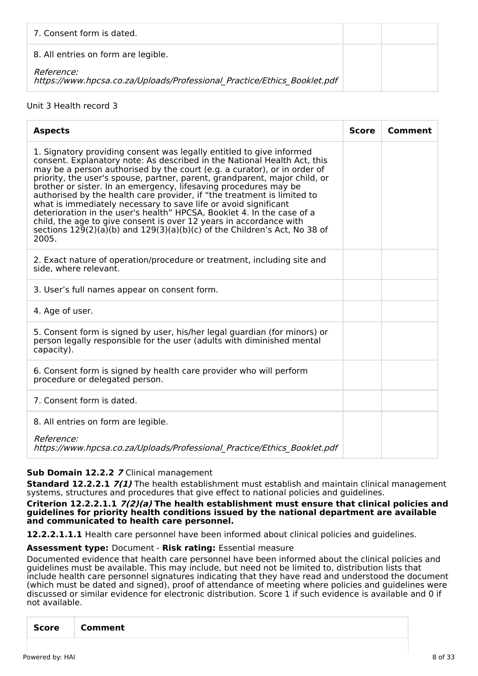| 7. Consent form is dated.                                                                     |  |
|-----------------------------------------------------------------------------------------------|--|
| 8. All entries on form are legible.                                                           |  |
| <i>Reference:</i><br>https://www.hpcsa.co.za/Uploads/Professional Practice/Ethics Booklet.pdf |  |

# Unit 3 Health record 3

| <b>Score</b> | Comment |
|--------------|---------|
|              |         |
|              |         |
|              |         |
|              |         |
|              |         |
|              |         |
|              |         |
|              |         |
|              |         |

#### **Sub Domain 12.2.2 7** Clinical management

**Standard 12.2.2.1 7(1)** The health establishment must establish and maintain clinical management systems, structures and procedures that give effect to national policies and quidelines.

**Criterion 12.2.2.1.1 7(2)(a) The health establishment must ensure that clinical policies and guidelines for priority health conditions issued by the national department are available and communicated to health care personnel.**

**12.2.2.1.1.1** Health care personnel have been informed about clinical policies and guidelines.

# **Assessment type:** Document - **Risk rating:** Essential measure

Documented evidence that health care personnel have been informed about the clinical policies and guidelines must be available. This may include, but need not be limited to, distribution lists that include health care personnel signatures indicating that they have read and understood the document (which must be dated and signed), proof of attendance of meeting where policies and guidelines were discussed or similar evidence for electronic distribution. Score 1 if such evidence is available and 0 if not available.

| Score |
|-------|
|-------|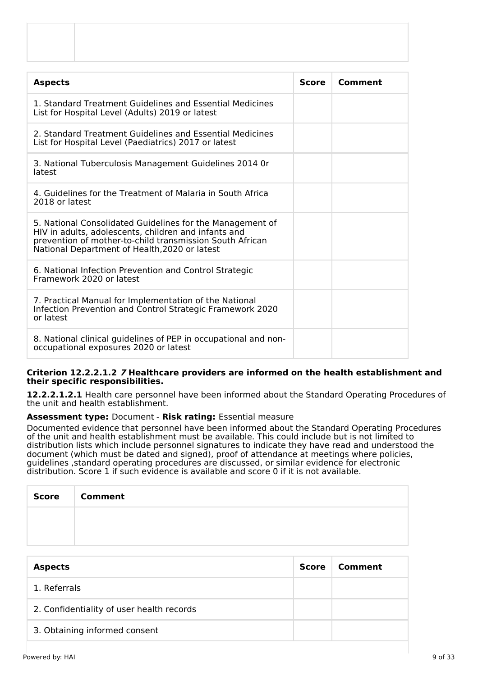| <b>Aspects</b>                                                                                                                                                                                                                 | <b>Score</b> | Comment |
|--------------------------------------------------------------------------------------------------------------------------------------------------------------------------------------------------------------------------------|--------------|---------|
| 1. Standard Treatment Guidelines and Essential Medicines<br>List for Hospital Level (Adults) 2019 or latest                                                                                                                    |              |         |
| 2. Standard Treatment Guidelines and Essential Medicines<br>List for Hospital Level (Paediatrics) 2017 or latest                                                                                                               |              |         |
| 3. National Tuberculosis Management Guidelines 2014 Or<br>latest                                                                                                                                                               |              |         |
| 4. Guidelines for the Treatment of Malaria in South Africa<br>2018 or latest                                                                                                                                                   |              |         |
| 5. National Consolidated Guidelines for the Management of<br>HIV in adults, adolescents, children and infants and<br>prevention of mother-to-child transmission South African<br>National Department of Health, 2020 or latest |              |         |
| 6. National Infection Prevention and Control Strategic<br>Framework 2020 or latest                                                                                                                                             |              |         |
| 7. Practical Manual for Implementation of the National<br>Infection Prevention and Control Strategic Framework 2020<br>or latest                                                                                               |              |         |
| 8. National clinical guidelines of PEP in occupational and non-<br>occupational exposures 2020 or latest                                                                                                                       |              |         |

#### **Criterion 12.2.2.1.2 7 Healthcare providers are informed on the health establishment and their specific responsibilities.**

**12.2.2.1.2.1** Health care personnel have been informed about the Standard Operating Procedures of the unit and health establishment.

#### **Assessment type:** Document - **Risk rating:** Essential measure

Documented evidence that personnel have been informed about the Standard Operating Procedures of the unit and health establishment must be available. This could include but is not limited to distribution lists which include personnel signatures to indicate they have read and understood the document (which must be dated and signed), proof of attendance at meetings where policies, guidelines , standard operating procedures are discussed, or similar evidence for electronic distribution. Score 1 if such evidence is available and score 0 if it is not available.

| <b>Score</b> | <b>Comment</b> |
|--------------|----------------|
|              |                |
|              |                |

| <b>Aspects</b>                            | Score | Comment |
|-------------------------------------------|-------|---------|
| 1. Referrals                              |       |         |
| 2. Confidentiality of user health records |       |         |
| 3. Obtaining informed consent             |       |         |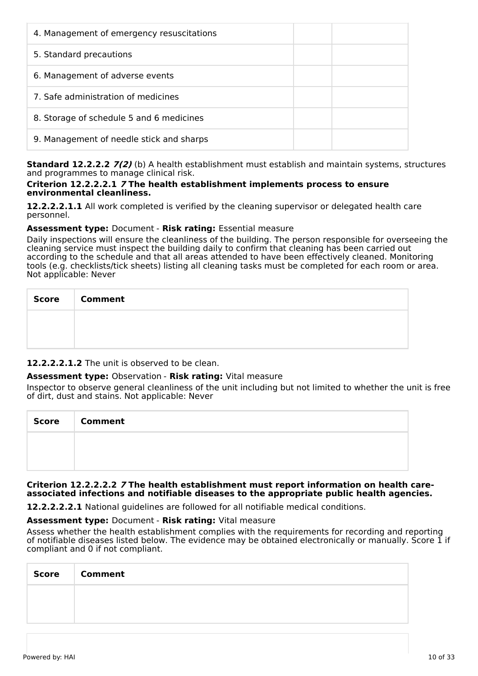| 4. Management of emergency resuscitations |  |
|-------------------------------------------|--|
| 5. Standard precautions                   |  |
| 6. Management of adverse events           |  |
| 7. Safe administration of medicines       |  |
| 8. Storage of schedule 5 and 6 medicines  |  |
| 9. Management of needle stick and sharps  |  |

**Standard 12.2.2.2 7(2)** (b) A health establishment must establish and maintain systems, structures and programmes to manage clinical risk.

#### **Criterion 12.2.2.2.1 7 The health establishment implements process to ensure environmental cleanliness.**

**12.2.2.2.1.1** All work completed is verified by the cleaning supervisor or delegated health care personnel.

# **Assessment type:** Document - **Risk rating:** Essential measure

Daily inspections will ensure the cleanliness of the building. The person responsible for overseeing the cleaning service must inspect the building daily to confirm that cleaning has been carried out according to the schedule and that all areas attended to have been effectively cleaned. Monitoring tools (e.g. checklists/tick sheets) listing all cleaning tasks must be completed for each room or area. Not applicable: Never

| Score   Comment |
|-----------------|
|                 |
|                 |

# **12.2.2.2.1.2** The unit is observed to be clean.

# **Assessment type:** Observation - **Risk rating:** Vital measure

Inspector to observe general cleanliness of the unit including but not limited to whether the unit is free of dirt, dust and stains. Not applicable: Never

| <b>Score</b> | <b>Comment</b> |
|--------------|----------------|
|              |                |
|              |                |

#### **Criterion 12.2.2.2.2 7 The health establishment must report information on health careassociated infections and notifiable diseases to the appropriate public health agencies.**

**12.2.2.2.2.1** National guidelines are followed for all notifiable medical conditions.

#### **Assessment type:** Document - **Risk rating:** Vital measure

Assess whether the health establishment complies with the requirements for recording and reporting of notifiable diseases listed below. The evidence may be obtained electronically or manually. Score 1 if compliant and 0 if not compliant.

| <b>Score</b> | <b>Comment</b> |
|--------------|----------------|
|              |                |
|              |                |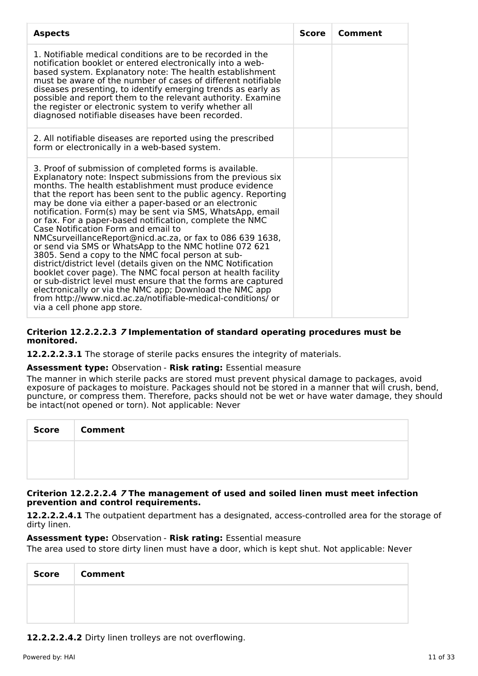| <b>Aspects</b>                                                                                                                                                                                                                                                                                                                                                                                                                                                                                                                                                                                                                                                                                                                                                                                                                                                                                                                                                                                                       | <b>Score</b> | Comment |
|----------------------------------------------------------------------------------------------------------------------------------------------------------------------------------------------------------------------------------------------------------------------------------------------------------------------------------------------------------------------------------------------------------------------------------------------------------------------------------------------------------------------------------------------------------------------------------------------------------------------------------------------------------------------------------------------------------------------------------------------------------------------------------------------------------------------------------------------------------------------------------------------------------------------------------------------------------------------------------------------------------------------|--------------|---------|
| 1. Notifiable medical conditions are to be recorded in the<br>notification booklet or entered electronically into a web-<br>based system. Explanatory note: The health establishment<br>must be aware of the number of cases of different notifiable<br>diseases presenting, to identify emerging trends as early as<br>possible and report them to the relevant authority. Examine<br>the register or electronic system to verify whether all<br>diagnosed notifiable diseases have been recorded.                                                                                                                                                                                                                                                                                                                                                                                                                                                                                                                  |              |         |
| 2. All notifiable diseases are reported using the prescribed<br>form or electronically in a web-based system.                                                                                                                                                                                                                                                                                                                                                                                                                                                                                                                                                                                                                                                                                                                                                                                                                                                                                                        |              |         |
| 3. Proof of submission of completed forms is available.<br>Explanatory note: Inspect submissions from the previous six<br>months. The health establishment must produce evidence<br>that the report has been sent to the public agency. Reporting<br>may be done via either a paper-based or an electronic<br>notification. Form(s) may be sent via SMS, WhatsApp, email<br>or fax. For a paper-based notification, complete the NMC<br>Case Notification Form and email to<br>NMCsurveillanceReport@nicd.ac.za, or fax to 086 639 1638,<br>or send via SMS or WhatsApp to the NMC hotline 072 621<br>3805. Send a copy to the NMC focal person at sub-<br>district/district level (details given on the NMC Notification<br>booklet cover page). The NMC focal person at health facility<br>or sub-district level must ensure that the forms are captured<br>electronically or via the NMC app; Download the NMC app<br>from http://www.nicd.ac.za/notifiable-medical-conditions/ or<br>via a cell phone app store. |              |         |

#### **Criterion 12.2.2.2.3 7 Implementation of standard operating procedures must be monitored.**

**12.2.2.2.3.1** The storage of sterile packs ensures the integrity of materials.

**Assessment type:** Observation - **Risk rating:** Essential measure

The manner in which sterile packs are stored must prevent physical damage to packages, avoid exposure of packages to moisture. Packages should not be stored in a manner that will crush, bend, puncture, or compress them. Therefore, packs should not be wet or have water damage, they should be intact(not opened or torn). Not applicable: Never

| Score | <b>Comment</b> |
|-------|----------------|
|       |                |
|       |                |

# **Criterion 12.2.2.2.4 7 The management of used and soiled linen must meet infection prevention and control requirements.**

**12.2.2.2.4.1** The outpatient department has a designated, access-controlled area for the storage of dirty linen.

# **Assessment type:** Observation - **Risk rating:** Essential measure

The area used to store dirty linen must have a door, which is kept shut. Not applicable: Never

| <b>Score</b> | <b>Comment</b> |
|--------------|----------------|
|              |                |
|              |                |

**12.2.2.2.4.2** Dirty linen trolleys are not overflowing.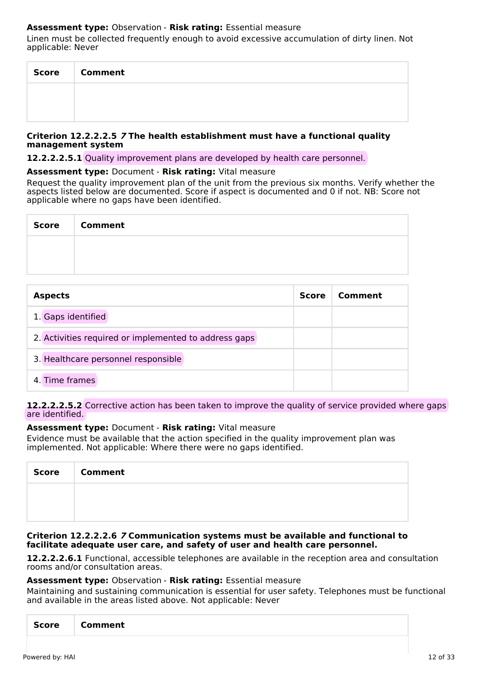# **Assessment type:** Observation - **Risk rating:** Essential measure

Linen must be collected frequently enough to avoid excessive accumulation of dirty linen. Not applicable: Never

| <b>Score</b> | <b>Comment</b> |
|--------------|----------------|
|              |                |
|              |                |

#### **Criterion 12.2.2.2.5 7 The health establishment must have a functional quality management system**

**12.2.2.2.5.1** Quality improvement plans are developed by health care personnel.

#### **Assessment type:** Document - **Risk rating:** Vital measure

Request the quality improvement plan of the unit from the previous six months. Verify whether the aspects listed below are documented. Score if aspect is documented and 0 if not. NB: Score not applicable where no gaps have been identified.

| <b>Score</b> | <b>Comment</b> |
|--------------|----------------|
|              |                |
|              |                |

| <b>Aspects</b>                                        |  | Comment |
|-------------------------------------------------------|--|---------|
| 1. Gaps identified                                    |  |         |
| 2. Activities required or implemented to address gaps |  |         |
| 3. Healthcare personnel responsible                   |  |         |
| 4. Time frames                                        |  |         |

#### **12.2.2.2.5.2** Corrective action has been taken to improve the quality of service provided where gaps are identified.

#### **Assessment type:** Document - **Risk rating:** Vital measure

Evidence must be available that the action specified in the quality improvement plan was implemented. Not applicable: Where there were no gaps identified.

| <b>Score</b> | <b>Comment</b> |
|--------------|----------------|
|              |                |
|              |                |

#### **Criterion 12.2.2.2.6 7 Communication systems must be available and functional to facilitate adequate user care, and safety of user and health care personnel.**

**12.2.2.2.6.1** Functional, accessible telephones are available in the reception area and consultation rooms and/or consultation areas.

#### **Assessment type:** Observation - **Risk rating:** Essential measure

Maintaining and sustaining communication is essential for user safety. Telephones must be functional and available in the areas listed above. Not applicable: Never

|--|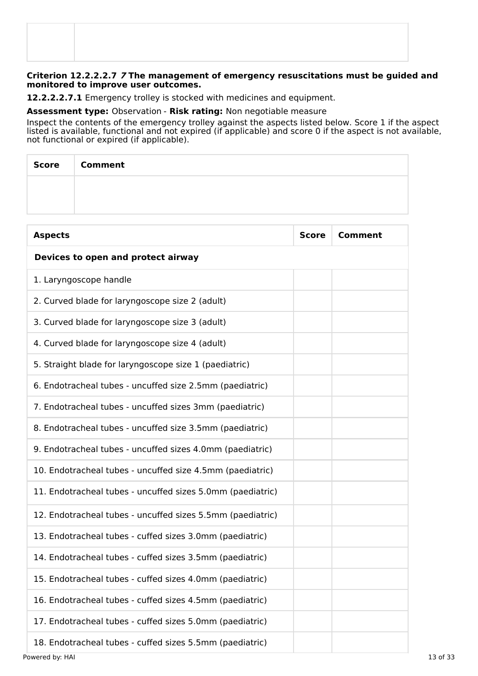### **Criterion 12.2.2.2.7 7 The management of emergency resuscitations must be guided and monitored to improve user outcomes.**

**12.2.2.2.7.1** Emergency trolley is stocked with medicines and equipment.

**Assessment type:** Observation - **Risk rating:** Non negotiable measure

Inspect the contents of the emergency trolley against the aspects listed below. Score 1 if the aspect listed is available, functional and not expired (if applicable) and score 0 if the aspect is not available, not functional or expired (if applicable).

| Score Comment |
|---------------|
|               |
|               |

| <b>Aspects</b>                                             | <b>Score</b> | <b>Comment</b> |
|------------------------------------------------------------|--------------|----------------|
| Devices to open and protect airway                         |              |                |
| 1. Laryngoscope handle                                     |              |                |
| 2. Curved blade for laryngoscope size 2 (adult)            |              |                |
| 3. Curved blade for laryngoscope size 3 (adult)            |              |                |
| 4. Curved blade for laryngoscope size 4 (adult)            |              |                |
| 5. Straight blade for laryngoscope size 1 (paediatric)     |              |                |
| 6. Endotracheal tubes - uncuffed size 2.5mm (paediatric)   |              |                |
| 7. Endotracheal tubes - uncuffed sizes 3mm (paediatric)    |              |                |
| 8. Endotracheal tubes - uncuffed size 3.5mm (paediatric)   |              |                |
| 9. Endotracheal tubes - uncuffed sizes 4.0mm (paediatric)  |              |                |
| 10. Endotracheal tubes - uncuffed size 4.5mm (paediatric)  |              |                |
| 11. Endotracheal tubes - uncuffed sizes 5.0mm (paediatric) |              |                |
| 12. Endotracheal tubes - uncuffed sizes 5.5mm (paediatric) |              |                |
| 13. Endotracheal tubes - cuffed sizes 3.0mm (paediatric)   |              |                |
| 14. Endotracheal tubes - cuffed sizes 3.5mm (paediatric)   |              |                |
| 15. Endotracheal tubes - cuffed sizes 4.0mm (paediatric)   |              |                |
| 16. Endotracheal tubes - cuffed sizes 4.5mm (paediatric)   |              |                |
| 17. Endotracheal tubes - cuffed sizes 5.0mm (paediatric)   |              |                |
| 18. Endotracheal tubes - cuffed sizes 5.5mm (paediatric)   |              |                |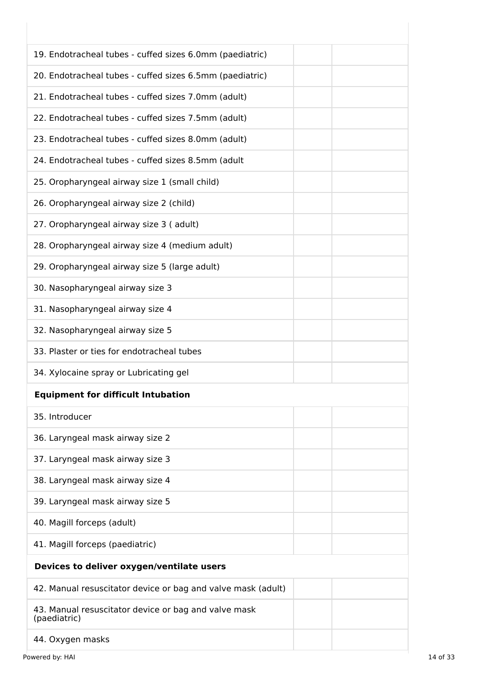| 19. Endotracheal tubes - cuffed sizes 6.0mm (paediatric)             |  |
|----------------------------------------------------------------------|--|
| 20. Endotracheal tubes - cuffed sizes 6.5mm (paediatric)             |  |
| 21. Endotracheal tubes - cuffed sizes 7.0mm (adult)                  |  |
| 22. Endotracheal tubes - cuffed sizes 7.5mm (adult)                  |  |
| 23. Endotracheal tubes - cuffed sizes 8.0mm (adult)                  |  |
| 24. Endotracheal tubes - cuffed sizes 8.5mm (adult                   |  |
| 25. Oropharyngeal airway size 1 (small child)                        |  |
| 26. Oropharyngeal airway size 2 (child)                              |  |
| 27. Oropharyngeal airway size 3 (adult)                              |  |
| 28. Oropharyngeal airway size 4 (medium adult)                       |  |
| 29. Oropharyngeal airway size 5 (large adult)                        |  |
| 30. Nasopharyngeal airway size 3                                     |  |
| 31. Nasopharyngeal airway size 4                                     |  |
| 32. Nasopharyngeal airway size 5                                     |  |
| 33. Plaster or ties for endotracheal tubes                           |  |
| 34. Xylocaine spray or Lubricating gel                               |  |
| <b>Equipment for difficult Intubation</b>                            |  |
| 35. Introducer                                                       |  |
| 36. Laryngeal mask airway size 2                                     |  |
| 37. Laryngeal mask airway size 3                                     |  |
| 38. Laryngeal mask airway size 4                                     |  |
| 39. Laryngeal mask airway size 5                                     |  |
| 40. Magill forceps (adult)                                           |  |
| 41. Magill forceps (paediatric)                                      |  |
| Devices to deliver oxygen/ventilate users                            |  |
| 42. Manual resuscitator device or bag and valve mask (adult)         |  |
| 43. Manual resuscitator device or bag and valve mask<br>(paediatric) |  |
| 44. Oxygen masks                                                     |  |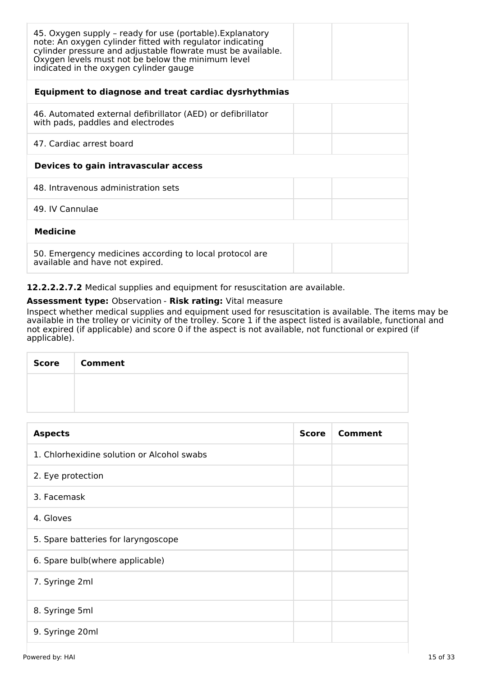| 45. Oxygen supply - ready for use (portable). Explanatory<br>note: An oxygen cylinder fitted with regulator indicating<br>cylinder pressure and adjustable flowrate must be available.<br>Oxygen levels must not be below the minimum level<br>indicated in the oxygen cylinder gauge |
|---------------------------------------------------------------------------------------------------------------------------------------------------------------------------------------------------------------------------------------------------------------------------------------|
| Equipment to diagnose and treat cardiac dysrhythmias                                                                                                                                                                                                                                  |
| 46. Automated external defibrillator (AED) or defibrillator<br>with pads, paddles and electrodes                                                                                                                                                                                      |
| 47. Cardiac arrest board                                                                                                                                                                                                                                                              |
| Devices to gain intravascular access                                                                                                                                                                                                                                                  |
| 48. Intravenous administration sets                                                                                                                                                                                                                                                   |
| 49. IV Cannulae                                                                                                                                                                                                                                                                       |
| <b>Medicine</b>                                                                                                                                                                                                                                                                       |
| 50. Emergency medicines according to local protocol are<br>available and have not expired.                                                                                                                                                                                            |

**12.2.2.2.7.2** Medical supplies and equipment for resuscitation are available.

# **Assessment type:** Observation - **Risk rating:** Vital measure

Inspect whether medical supplies and equipment used for resuscitation is available. The items may be available in the trolley or vicinity of the trolley. Score 1 if the aspect listed is available, functional and not expired (if applicable) and score 0 if the aspect is not available, not functional or expired (if applicable).

| <b>Score</b> | <b>Comment</b> |
|--------------|----------------|
|              |                |
|              |                |

| <b>Aspects</b>                             | <b>Score</b> | Comment |
|--------------------------------------------|--------------|---------|
| 1. Chlorhexidine solution or Alcohol swabs |              |         |
| 2. Eye protection                          |              |         |
| 3. Facemask                                |              |         |
| 4. Gloves                                  |              |         |
| 5. Spare batteries for laryngoscope        |              |         |
| 6. Spare bulb(where applicable)            |              |         |
| 7. Syringe 2ml                             |              |         |
| 8. Syringe 5ml                             |              |         |
| 9. Syringe 20ml                            |              |         |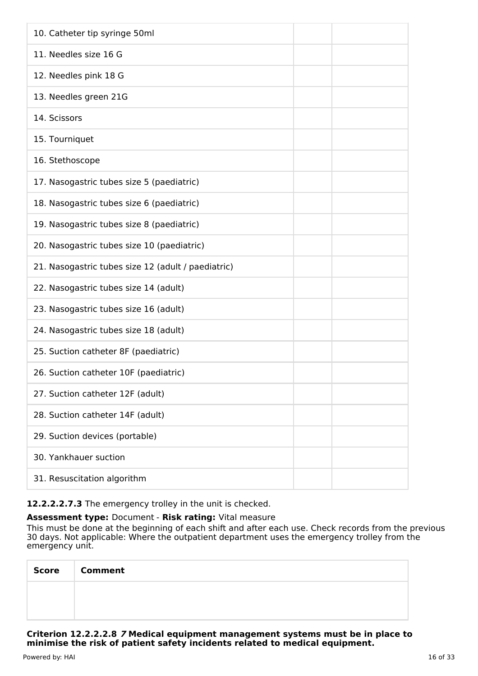| 10. Catheter tip syringe 50ml                      |
|----------------------------------------------------|
| 11. Needles size 16 G                              |
| 12. Needles pink 18 G                              |
| 13. Needles green 21G                              |
| 14. Scissors                                       |
| 15. Tourniquet                                     |
| 16. Stethoscope                                    |
| 17. Nasogastric tubes size 5 (paediatric)          |
| 18. Nasogastric tubes size 6 (paediatric)          |
| 19. Nasogastric tubes size 8 (paediatric)          |
| 20. Nasogastric tubes size 10 (paediatric)         |
| 21. Nasogastric tubes size 12 (adult / paediatric) |
| 22. Nasogastric tubes size 14 (adult)              |
| 23. Nasogastric tubes size 16 (adult)              |
| 24. Nasogastric tubes size 18 (adult)              |
| 25. Suction catheter 8F (paediatric)               |
| 26. Suction catheter 10F (paediatric)              |
| 27. Suction catheter 12F (adult)                   |
| 28. Suction catheter 14F (adult)                   |
| 29. Suction devices (portable)                     |
| 30. Yankhauer suction                              |
| 31. Resuscitation algorithm                        |

# **12.2.2.2.7.3** The emergency trolley in the unit is checked.

# **Assessment type:** Document - **Risk rating:** Vital measure

This must be done at the beginning of each shift and after each use. Check records from the previous 30 days. Not applicable: Where the outpatient department uses the emergency trolley from the emergency unit.

| Score   Comment |
|-----------------|
|                 |
|                 |

**Criterion 12.2.2.2.8 7 Medical equipment management systems must be in place to minimise the risk of patient safety incidents related to medical equipment.**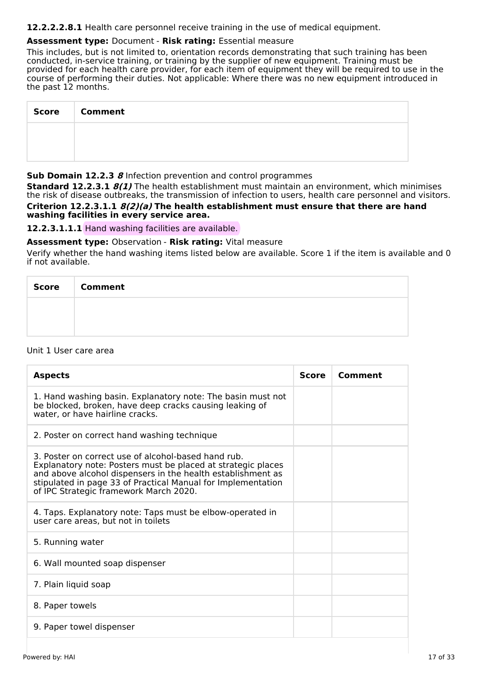**12.2.2.2.8.1** Health care personnel receive training in the use of medical equipment.

# **Assessment type:** Document - **Risk rating:** Essential measure

This includes, but is not limited to, orientation records demonstrating that such training has been conducted, in-service training, or training by the supplier of new equipment. Training must be provided for each health care provider, for each item of equipment they will be required to use in the course of performing their duties. Not applicable: Where there was no new equipment introduced in the past 12 months.

| <b>Score</b> | <b>Comment</b> |
|--------------|----------------|
|              |                |
|              |                |

#### **Sub Domain 12.2.3 8** Infection prevention and control programmes

**Standard 12.2.3.1 8(1)** The health establishment must maintain an environment, which minimises the risk of disease outbreaks, the transmission of infection to users, health care personnel and visitors.

**Criterion 12.2.3.1.1 8(2)(a) The health establishment must ensure that there are hand washing facilities in every service area.**

# **12.2.3.1.1.1** Hand washing facilities are available.

**Assessment type:** Observation - **Risk rating:** Vital measure

Verify whether the hand washing items listed below are available. Score 1 if the item is available and 0 if not available.

| Score   Comment |
|-----------------|
|                 |
|                 |

#### Unit 1 User care area

| <b>Aspects</b>                                                                                                                                                                                                                                                                               | Score | Comment |
|----------------------------------------------------------------------------------------------------------------------------------------------------------------------------------------------------------------------------------------------------------------------------------------------|-------|---------|
| 1. Hand washing basin. Explanatory note: The basin must not<br>be blocked, broken, have deep cracks causing leaking of<br>water, or have hairline cracks.                                                                                                                                    |       |         |
| 2. Poster on correct hand washing technique                                                                                                                                                                                                                                                  |       |         |
| 3. Poster on correct use of alcohol-based hand rub.<br>Explanatory note: Posters must be placed at strategic places<br>and above alcohol dispensers in the health establishment as<br>stipulated in page 33 of Practical Manual for Implementation<br>of IPC Strategic framework March 2020. |       |         |
| 4. Taps. Explanatory note: Taps must be elbow-operated in<br>user care areas, but not in toilets                                                                                                                                                                                             |       |         |
| 5. Running water                                                                                                                                                                                                                                                                             |       |         |
| 6. Wall mounted soap dispenser                                                                                                                                                                                                                                                               |       |         |
| 7. Plain liquid soap                                                                                                                                                                                                                                                                         |       |         |
| 8. Paper towels                                                                                                                                                                                                                                                                              |       |         |
| 9. Paper towel dispenser                                                                                                                                                                                                                                                                     |       |         |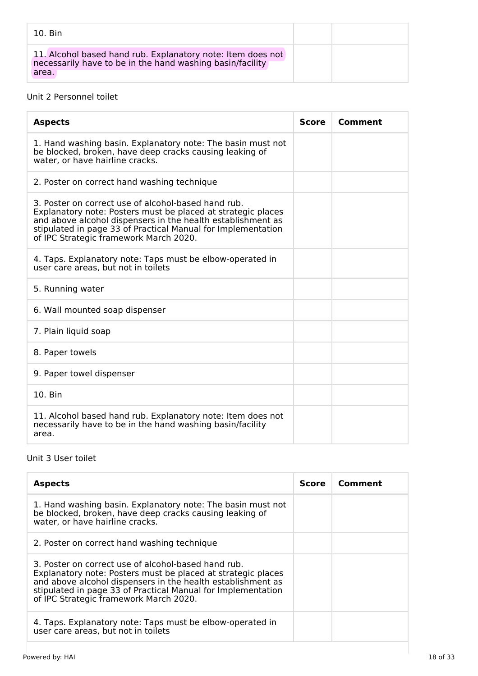| 10. Bin                                                                                                                           |  |
|-----------------------------------------------------------------------------------------------------------------------------------|--|
| 11. Alcohol based hand rub. Explanatory note: Item does not<br>necessarily have to be in the hand washing basin/facility<br>area. |  |

# Unit 2 Personnel toilet

| <b>Aspects</b>                                                                                                                                                                                                                                                                               | <b>Score</b> | Comment |
|----------------------------------------------------------------------------------------------------------------------------------------------------------------------------------------------------------------------------------------------------------------------------------------------|--------------|---------|
| 1. Hand washing basin. Explanatory note: The basin must not<br>be blocked, broken, have deep cracks causing leaking of<br>water, or have hairline cracks.                                                                                                                                    |              |         |
| 2. Poster on correct hand washing technique                                                                                                                                                                                                                                                  |              |         |
| 3. Poster on correct use of alcohol-based hand rub.<br>Explanatory note: Posters must be placed at strategic places<br>and above alcohol dispensers in the health establishment as<br>stipulated in page 33 of Practical Manual for Implementation<br>of IPC Strategic framework March 2020. |              |         |
| 4. Taps. Explanatory note: Taps must be elbow-operated in<br>user care areas, but not in toilets                                                                                                                                                                                             |              |         |
| 5. Running water                                                                                                                                                                                                                                                                             |              |         |
| 6. Wall mounted soap dispenser                                                                                                                                                                                                                                                               |              |         |
| 7. Plain liquid soap                                                                                                                                                                                                                                                                         |              |         |
| 8. Paper towels                                                                                                                                                                                                                                                                              |              |         |
| 9. Paper towel dispenser                                                                                                                                                                                                                                                                     |              |         |
| 10. Bin                                                                                                                                                                                                                                                                                      |              |         |
| 11. Alcohol based hand rub. Explanatory note: Item does not<br>necessarily have to be in the hand washing basin/facility<br>area.                                                                                                                                                            |              |         |

# Unit 3 User toilet

| <b>Aspects</b>                                                                                                                                                                                                                                                                               | <b>Score</b> | Comment |
|----------------------------------------------------------------------------------------------------------------------------------------------------------------------------------------------------------------------------------------------------------------------------------------------|--------------|---------|
| 1. Hand washing basin. Explanatory note: The basin must not<br>be blocked, broken, have deep cracks causing leaking of<br>water, or have hairline cracks.                                                                                                                                    |              |         |
| 2. Poster on correct hand washing technique                                                                                                                                                                                                                                                  |              |         |
| 3. Poster on correct use of alcohol-based hand rub.<br>Explanatory note: Posters must be placed at strategic places<br>and above alcohol dispensers in the health establishment as<br>stipulated in page 33 of Practical Manual for Implementation<br>of IPC Strategic framework March 2020. |              |         |
| 4. Taps. Explanatory note: Taps must be elbow-operated in<br>user care areas, but not in toilets                                                                                                                                                                                             |              |         |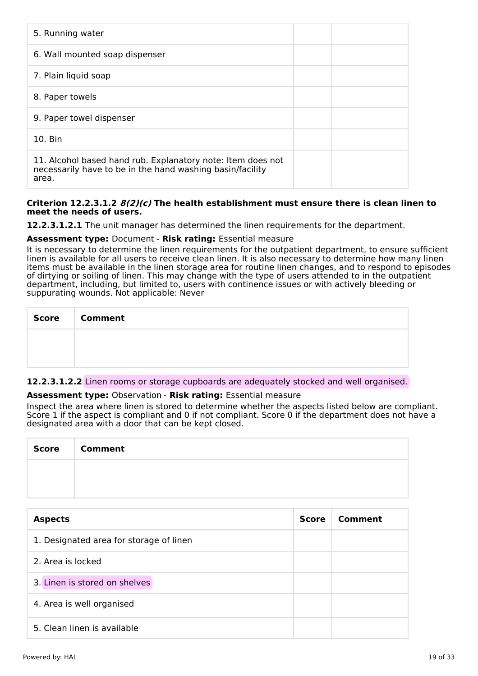| 5. Running water                                                                                                                  |  |
|-----------------------------------------------------------------------------------------------------------------------------------|--|
| 6. Wall mounted soap dispenser                                                                                                    |  |
| 7. Plain liquid soap                                                                                                              |  |
| 8. Paper towels                                                                                                                   |  |
| 9. Paper towel dispenser                                                                                                          |  |
| $10.$ Bin                                                                                                                         |  |
| 11. Alcohol based hand rub. Explanatory note: Item does not<br>necessarily have to be in the hand washing basin/facility<br>area. |  |

# **Criterion 12.2.3.1.2 8(2)(c) The health establishment must ensure there is clean linen to meet the needs of users.**

**12.2.3.1.2.1** The unit manager has determined the linen requirements for the department.

# **Assessment type:** Document - **Risk rating:** Essential measure

It is necessary to determine the linen requirements for the outpatient department, to ensure sufficient linen is available for all users to receive clean linen. It is also necessary to determine how many linen items must be available in the linen storage area for routine linen changes, and to respond to episodes of dirtying or soiling of linen. This may change with the type of users attended to in the outpatient department, including, but limited to, users with continence issues or with actively bleeding or suppurating wounds. Not applicable: Never

| Score   Comment |
|-----------------|
|                 |
|                 |

# **12.2.3.1.2.2** Linen rooms or storage cupboards are adequately stocked and well organised.

#### **Assessment type:** Observation - **Risk rating:** Essential measure

Inspect the area where linen is stored to determine whether the aspects listed below are compliant. Score 1 if the aspect is compliant and 0 if not compliant. Score 0 if the department does not have a designated area with a door that can be kept closed.

| <b>Score</b> | <b>Comment</b> |
|--------------|----------------|
|              |                |
|              |                |

| <b>Aspects</b>                          | <b>Score</b> | Comment |
|-----------------------------------------|--------------|---------|
| 1. Designated area for storage of linen |              |         |
| 2. Area is locked                       |              |         |
| 3. Linen is stored on shelves           |              |         |
| 4. Area is well organised               |              |         |
| 5. Clean linen is available             |              |         |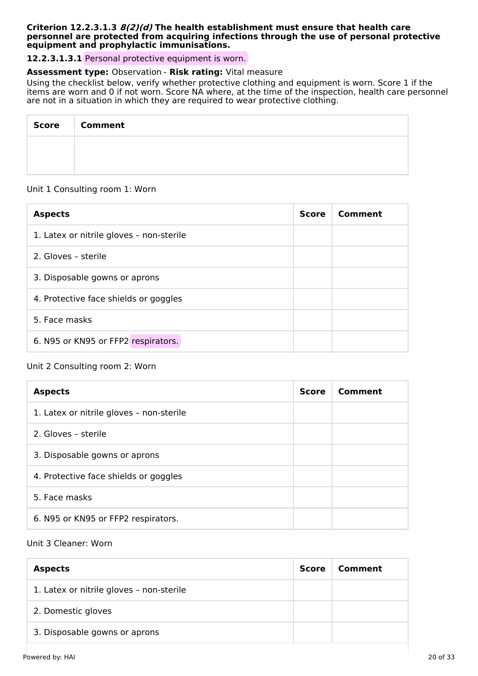#### **Criterion 12.2.3.1.3 8(2)(d) The health establishment must ensure that health care personnel are protected from acquiring infections through the use of personal protective equipment and prophylactic immunisations.**

**12.2.3.1.3.1** Personal protective equipment is worn.

# **Assessment type:** Observation - **Risk rating:** Vital measure

Using the checklist below, verify whether protective clothing and equipment is worn. Score 1 if the items are worn and 0 if not worn. Score NA where, at the time of the inspection, health care personnel are not in a situation in which they are required to wear protective clothing.

| Score   Comment |
|-----------------|
|                 |
|                 |

# Unit 1 Consulting room 1: Worn

| <b>Aspects</b>                           | <b>Score</b> | Comment |
|------------------------------------------|--------------|---------|
| 1. Latex or nitrile gloves - non-sterile |              |         |
| 2. Gloves - sterile                      |              |         |
| 3. Disposable gowns or aprons            |              |         |
| 4. Protective face shields or goggles    |              |         |
| 5. Face masks                            |              |         |
| 6. N95 or KN95 or FFP2 respirators.      |              |         |

# Unit 2 Consulting room 2: Worn

| <b>Aspects</b>                           | <b>Score</b> | Comment |
|------------------------------------------|--------------|---------|
| 1. Latex or nitrile gloves - non-sterile |              |         |
| 2. Gloves - sterile                      |              |         |
| 3. Disposable gowns or aprons            |              |         |
| 4. Protective face shields or goggles    |              |         |
| 5. Face masks                            |              |         |
| 6. N95 or KN95 or FFP2 respirators.      |              |         |

# Unit 3 Cleaner: Worn

| <b>Aspects</b>                           | <b>Score</b> | Comment |
|------------------------------------------|--------------|---------|
| 1. Latex or nitrile gloves - non-sterile |              |         |
| 2. Domestic gloves                       |              |         |
| 3. Disposable gowns or aprons            |              |         |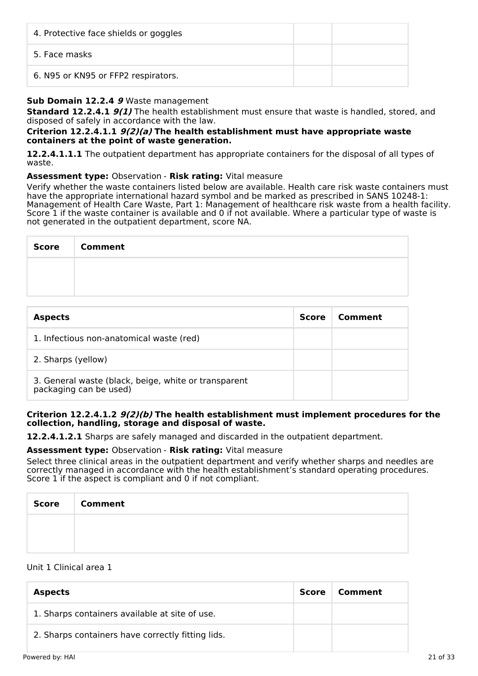| 4. Protective face shields or goggles |  |
|---------------------------------------|--|
| 5. Face masks                         |  |
| 6. N95 or KN95 or FFP2 respirators.   |  |

# **Sub Domain 12.2.4 9** Waste management

**Standard 12.2.4.1 9(1)** The health establishment must ensure that waste is handled, stored, and disposed of safely in accordance with the law.

#### **Criterion 12.2.4.1.1 9(2)(a) The health establishment must have appropriate waste containers at the point of waste generation.**

**12.2.4.1.1.1** The outpatient department has appropriate containers for the disposal of all types of waste.

# **Assessment type:** Observation - **Risk rating:** Vital measure

Verify whether the waste containers listed below are available. Health care risk waste containers must have the appropriate international hazard symbol and be marked as prescribed in SANS 10248-1: Management of Health Care Waste, Part 1: Management of healthcare risk waste from a health facility. Score 1 if the waste container is available and 0 if not available. Where a particular type of waste is not generated in the outpatient department, score NA.

| <b>Score</b> | <b>Comment</b> |
|--------------|----------------|
|              |                |
|              |                |

| <b>Aspects</b>                                                                 | <b>Score</b> | Comment |
|--------------------------------------------------------------------------------|--------------|---------|
| 1. Infectious non-anatomical waste (red)                                       |              |         |
| 2. Sharps (yellow)                                                             |              |         |
| 3. General waste (black, beige, white or transparent<br>packaging can be used) |              |         |

# **Criterion 12.2.4.1.2 9(2)(b) The health establishment must implement procedures for the collection, handling, storage and disposal of waste.**

**12.2.4.1.2.1** Sharps are safely managed and discarded in the outpatient department.

# **Assessment type:** Observation - **Risk rating:** Vital measure

Select three clinical areas in the outpatient department and verify whether sharps and needles are correctly managed in accordance with the health establishment's standard operating procedures. Score 1 if the aspect is compliant and 0 if not compliant.

| <b>Score</b> | <b>Comment</b> |
|--------------|----------------|
|              |                |
|              |                |

# Unit 1 Clinical area 1

| <b>Aspects</b>                                    | Score | Comment |
|---------------------------------------------------|-------|---------|
| 1. Sharps containers available at site of use.    |       |         |
| 2. Sharps containers have correctly fitting lids. |       |         |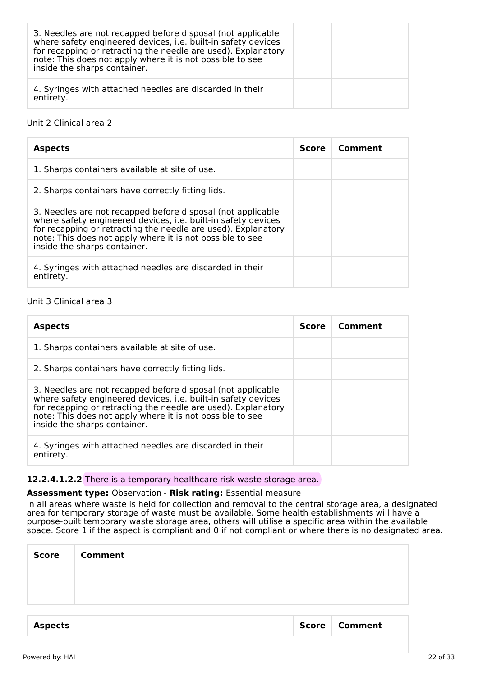| 3. Needles are not recapped before disposal (not applicable<br>where safety engineered devices, i.e. built-in safety devices<br>for recapping or retracting the needle are used). Explanatory<br>note: This does not apply where it is not possible to see<br>inside the sharps container. |  |
|--------------------------------------------------------------------------------------------------------------------------------------------------------------------------------------------------------------------------------------------------------------------------------------------|--|
| 4. Syringes with attached needles are discarded in their<br>entirety.                                                                                                                                                                                                                      |  |

# Unit 2 Clinical area 2

| <b>Aspects</b>                                                                                                                                                                                                                                                                             | <b>Score</b> | Comment |
|--------------------------------------------------------------------------------------------------------------------------------------------------------------------------------------------------------------------------------------------------------------------------------------------|--------------|---------|
| 1. Sharps containers available at site of use.                                                                                                                                                                                                                                             |              |         |
| 2. Sharps containers have correctly fitting lids.                                                                                                                                                                                                                                          |              |         |
| 3. Needles are not recapped before disposal (not applicable<br>where safety engineered devices, i.e. built-in safety devices<br>for recapping or retracting the needle are used). Explanatory<br>note: This does not apply where it is not possible to see<br>inside the sharps container. |              |         |
| 4. Syringes with attached needles are discarded in their<br>entirety.                                                                                                                                                                                                                      |              |         |

# Unit 3 Clinical area 3

| <b>Aspects</b>                                                                                                                                                                                                                                                                             | <b>Score</b> | Comment |
|--------------------------------------------------------------------------------------------------------------------------------------------------------------------------------------------------------------------------------------------------------------------------------------------|--------------|---------|
| 1. Sharps containers available at site of use.                                                                                                                                                                                                                                             |              |         |
| 2. Sharps containers have correctly fitting lids.                                                                                                                                                                                                                                          |              |         |
| 3. Needles are not recapped before disposal (not applicable<br>where safety engineered devices, i.e. built-in safety devices<br>for recapping or retracting the needle are used). Explanatory<br>note: This does not apply where it is not possible to see<br>inside the sharps container. |              |         |
| 4. Syringes with attached needles are discarded in their<br>entirety.                                                                                                                                                                                                                      |              |         |

#### **12.2.4.1.2.2** There is a temporary healthcare risk waste storage area.

# **Assessment type:** Observation - **Risk rating:** Essential measure

In all areas where waste is held for collection and removal to the central storage area, a designated area for temporary storage of waste must be available. Some health establishments will have a purpose-built temporary waste storage area, others will utilise a specific area within the available space. Score 1 if the aspect is compliant and 0 if not compliant or where there is no designated area.

| <b>Score</b> | <b>Comment</b> |
|--------------|----------------|
|              |                |
|              |                |
|              |                |

| <b>Aspects</b> | Score | Comment |
|----------------|-------|---------|
|                |       |         |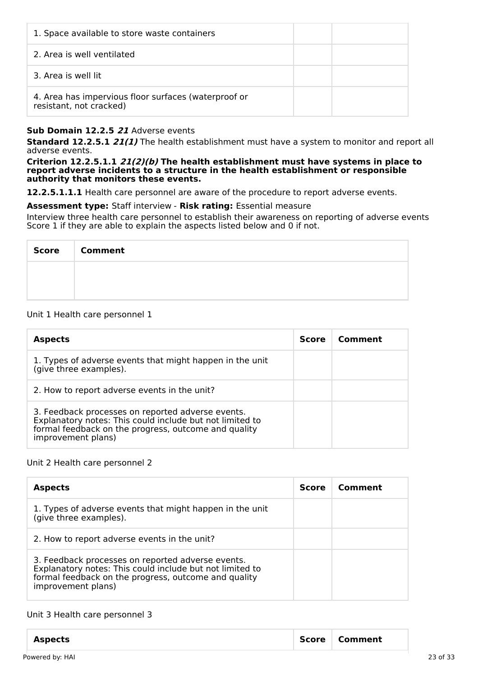| 1. Space available to store waste containers                                    |  |
|---------------------------------------------------------------------------------|--|
| 2. Area is well ventilated                                                      |  |
| 3. Area is well lit                                                             |  |
| 4. Area has impervious floor surfaces (waterproof or<br>resistant, not cracked) |  |

# **Sub Domain 12.2.5 21** Adverse events

**Standard 12.2.5.1 21(1)** The health establishment must have a system to monitor and report all adverse events.

**Criterion 12.2.5.1.1 21(2)(b) The health establishment must have systems in place to report adverse incidents to a structure in the health establishment or responsible authority that monitors these events.**

**12.2.5.1.1.1** Health care personnel are aware of the procedure to report adverse events.

#### **Assessment type:** Staff interview - **Risk rating:** Essential measure

Interview three health care personnel to establish their awareness on reporting of adverse events Score 1 if they are able to explain the aspects listed below and 0 if not.

| Score   Comment |
|-----------------|
|                 |
|                 |

# Unit 1 Health care personnel 1

| <b>Aspects</b>                                                                                                                                                                              | <b>Score</b> | Comment |
|---------------------------------------------------------------------------------------------------------------------------------------------------------------------------------------------|--------------|---------|
| 1. Types of adverse events that might happen in the unit<br>(give three examples).                                                                                                          |              |         |
| 2. How to report adverse events in the unit?                                                                                                                                                |              |         |
| 3. Feedback processes on reported adverse events.<br>Explanatory notes: This could include but not limited to<br>formal feedback on the progress, outcome and quality<br>improvement plans) |              |         |

#### Unit 2 Health care personnel 2

| <b>Aspects</b>                                                                                                                                                                              | <b>Score</b> | Comment |
|---------------------------------------------------------------------------------------------------------------------------------------------------------------------------------------------|--------------|---------|
| 1. Types of adverse events that might happen in the unit<br>(give three examples).                                                                                                          |              |         |
| 2. How to report adverse events in the unit?                                                                                                                                                |              |         |
| 3. Feedback processes on reported adverse events.<br>Explanatory notes: This could include but not limited to<br>formal feedback on the progress, outcome and quality<br>improvement plans) |              |         |

#### Unit 3 Health care personnel 3

| <b>Aspects</b>  | Score | <b>Comment</b> |          |
|-----------------|-------|----------------|----------|
| Powered by: HAI |       |                | 23 of 33 |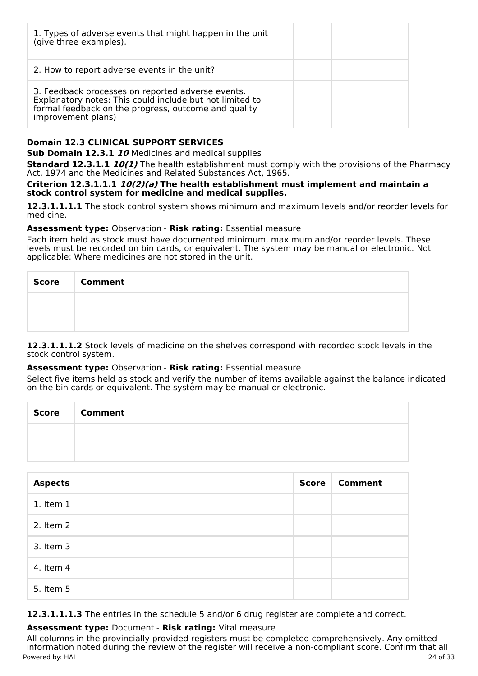| 1. Types of adverse events that might happen in the unit<br>(give three examples).                                                                                                          |  |
|---------------------------------------------------------------------------------------------------------------------------------------------------------------------------------------------|--|
| 2. How to report adverse events in the unit?                                                                                                                                                |  |
| 3. Feedback processes on reported adverse events.<br>Explanatory notes: This could include but not limited to<br>formal feedback on the progress, outcome and quality<br>improvement plans) |  |

# **Domain 12.3 CLINICAL SUPPORT SERVICES**

**Sub Domain 12.3.1 10** Medicines and medical supplies

**Standard 12.3.1.1 10(1)** The health establishment must comply with the provisions of the Pharmacy Act, 1974 and the Medicines and Related Substances Act, 1965.

**Criterion 12.3.1.1.1 10(2)(a) The health establishment must implement and maintain a stock control system for medicine and medical supplies.**

**12.3.1.1.1.1** The stock control system shows minimum and maximum levels and/or reorder levels for medicine.

# **Assessment type:** Observation - **Risk rating:** Essential measure

Each item held as stock must have documented minimum, maximum and/or reorder levels. These levels must be recorded on bin cards, or equivalent. The system may be manual or electronic. Not applicable: Where medicines are not stored in the unit.

| Score   Comment |
|-----------------|
|                 |
|                 |

**12.3.1.1.1.2** Stock levels of medicine on the shelves correspond with recorded stock levels in the stock control system.

#### **Assessment type:** Observation - **Risk rating:** Essential measure

Select five items held as stock and verify the number of items available against the balance indicated on the bin cards or equivalent. The system may be manual or electronic.

| Score Comment |
|---------------|
|               |
|               |

| <b>Aspects</b> | <b>Score</b> | <b>Comment</b> |
|----------------|--------------|----------------|
| $1.$ Item $1$  |              |                |
| 2. Item 2      |              |                |
| 3. Item 3      |              |                |
| 4. Item 4      |              |                |
| 5. Item 5      |              |                |

**12.3.1.1.1.3** The entries in the schedule 5 and/or 6 drug register are complete and correct.

# **Assessment type:** Document - **Risk rating:** Vital measure

All columns in the provincially provided registers must be completed comprehensively. Any omitted information noted during the review of the register will receive a non-compliant score. Confirm that all Powered by: HAI 24 of 33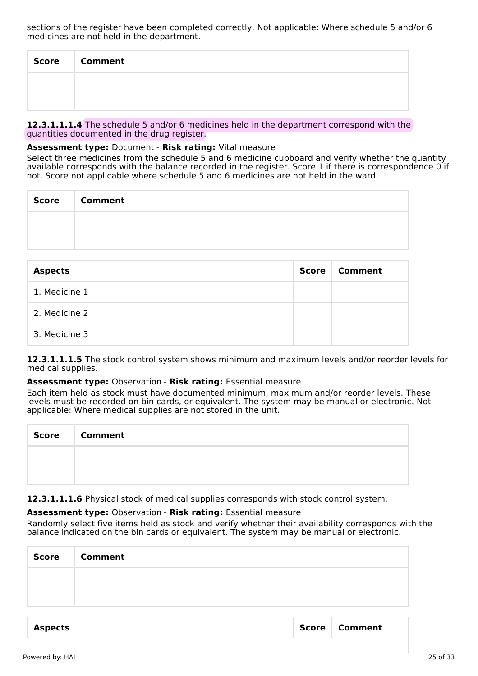sections of the register have been completed correctly. Not applicable: Where schedule 5 and/or 6 medicines are not held in the department.

| Score | <b>Comment</b> |
|-------|----------------|
|       |                |
|       |                |

**12.3.1.1.1.4** The schedule 5 and/or 6 medicines held in the department correspond with the quantities documented in the drug register.

# **Assessment type:** Document - **Risk rating:** Vital measure

Select three medicines from the schedule 5 and 6 medicine cupboard and verify whether the quantity available corresponds with the balance recorded in the register. Score 1 if there is correspondence 0 if not. Score not applicable where schedule 5 and 6 medicines are not held in the ward.

| Score   Comment |
|-----------------|
|                 |
|                 |

| <b>Aspects</b> | Score | Comment |
|----------------|-------|---------|
| 1. Medicine 1  |       |         |
| 2. Medicine 2  |       |         |
| 3. Medicine 3  |       |         |

**12.3.1.1.1.5** The stock control system shows minimum and maximum levels and/or reorder levels for medical supplies.

#### **Assessment type:** Observation - **Risk rating:** Essential measure

Each item held as stock must have documented minimum, maximum and/or reorder levels. These levels must be recorded on bin cards, or equivalent. The system may be manual or electronic. Not applicable: Where medical supplies are not stored in the unit.

| <b>Score</b> | <b>Comment</b> |
|--------------|----------------|
|              |                |
|              |                |

**12.3.1.1.1.6** Physical stock of medical supplies corresponds with stock control system.

#### **Assessment type:** Observation - **Risk rating:** Essential measure

Randomly select five items held as stock and verify whether their availability corresponds with the balance indicated on the bin cards or equivalent. The system may be manual or electronic.

| <b>Score</b> | <b>Comment</b> |  |
|--------------|----------------|--|
|              |                |  |
|              |                |  |
|              |                |  |

| <b>Score</b><br>Comment<br><b>Aspects</b> |  |
|-------------------------------------------|--|
|-------------------------------------------|--|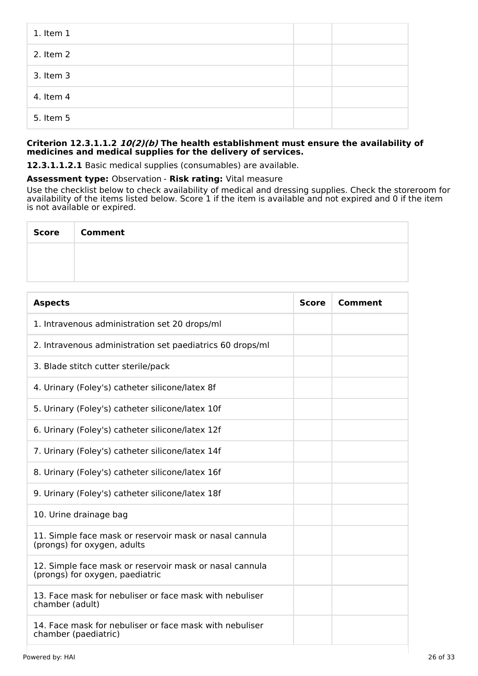| $1.$ Item $1$ |  |
|---------------|--|
| 2. Item 2     |  |
| 3. Item 3     |  |
| 4. Item 4     |  |
| 5. Item 5     |  |

# **Criterion 12.3.1.1.2 10(2)(b) The health establishment must ensure the availability of medicines and medical supplies for the delivery of services.**

**12.3.1.1.2.1** Basic medical supplies (consumables) are available.

#### **Assessment type:** Observation - **Risk rating:** Vital measure

Use the checklist below to check availability of medical and dressing supplies. Check the storeroom for availability of the items listed below. Score 1 if the item is available and not expired and 0 if the item is not available or expired.

T

| <b>Score</b> | <b>Comment</b> |
|--------------|----------------|
|              |                |
|              |                |

| <b>Aspects</b>                                                                             | <b>Score</b> | <b>Comment</b> |
|--------------------------------------------------------------------------------------------|--------------|----------------|
| 1. Intravenous administration set 20 drops/ml                                              |              |                |
| 2. Intravenous administration set paediatrics 60 drops/ml                                  |              |                |
| 3. Blade stitch cutter sterile/pack                                                        |              |                |
| 4. Urinary (Foley's) catheter silicone/latex 8f                                            |              |                |
| 5. Urinary (Foley's) catheter silicone/latex 10f                                           |              |                |
| 6. Urinary (Foley's) catheter silicone/latex 12f                                           |              |                |
| 7. Urinary (Foley's) catheter silicone/latex 14f                                           |              |                |
| 8. Urinary (Foley's) catheter silicone/latex 16f                                           |              |                |
| 9. Urinary (Foley's) catheter silicone/latex 18f                                           |              |                |
| 10. Urine drainage bag                                                                     |              |                |
| 11. Simple face mask or reservoir mask or nasal cannula<br>(prongs) for oxygen, adults     |              |                |
| 12. Simple face mask or reservoir mask or nasal cannula<br>(prongs) for oxygen, paediatric |              |                |
| 13. Face mask for nebuliser or face mask with nebuliser<br>chamber (adult)                 |              |                |
| 14. Face mask for nebuliser or face mask with nebuliser<br>chamber (paediatric)            |              |                |

٦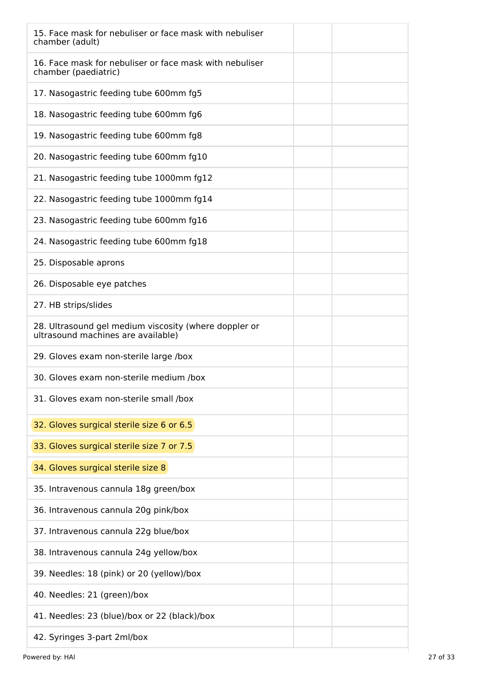| 15. Face mask for nebuliser or face mask with nebuliser<br>chamber (adult)                  |
|---------------------------------------------------------------------------------------------|
| 16. Face mask for nebuliser or face mask with nebuliser<br>chamber (paediatric)             |
| 17. Nasogastric feeding tube 600mm fg5                                                      |
| 18. Nasogastric feeding tube 600mm fg6                                                      |
| 19. Nasogastric feeding tube 600mm fg8                                                      |
| 20. Nasogastric feeding tube 600mm fg10                                                     |
| 21. Nasogastric feeding tube 1000mm fg12                                                    |
| 22. Nasogastric feeding tube 1000mm fg14                                                    |
| 23. Nasogastric feeding tube 600mm fg16                                                     |
| 24. Nasogastric feeding tube 600mm fg18                                                     |
| 25. Disposable aprons                                                                       |
| 26. Disposable eye patches                                                                  |
| 27. HB strips/slides                                                                        |
| 28. Ultrasound gel medium viscosity (where doppler or<br>ultrasound machines are available) |
| 29. Gloves exam non-sterile large /box                                                      |
| 30. Gloves exam non-sterile medium /box                                                     |
| 31. Gloves exam non-sterile small /box                                                      |
| 32. Gloves surgical sterile size 6 or 6.5                                                   |
| 33. Gloves surgical sterile size 7 or 7.5                                                   |
| 34. Gloves surgical sterile size 8                                                          |
| 35. Intravenous cannula 18g green/box                                                       |
| 36. Intravenous cannula 20g pink/box                                                        |
| 37. Intravenous cannula 22g blue/box                                                        |
| 38. Intravenous cannula 24g yellow/box                                                      |
| 39. Needles: 18 (pink) or 20 (yellow)/box                                                   |
| 40. Needles: 21 (green)/box                                                                 |
| 41. Needles: 23 (blue)/box or 22 (black)/box                                                |
| 42. Syringes 3-part 2ml/box                                                                 |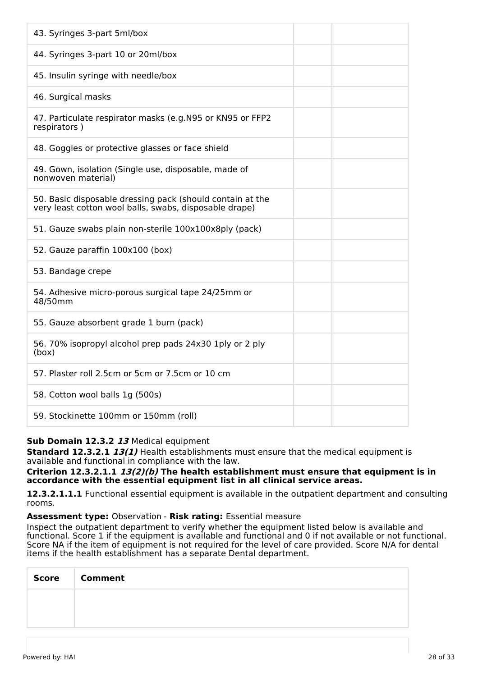| 43. Syringes 3-part 5ml/box                                                                                         |
|---------------------------------------------------------------------------------------------------------------------|
| 44. Syringes 3-part 10 or 20ml/box                                                                                  |
| 45. Insulin syringe with needle/box                                                                                 |
| 46. Surgical masks                                                                                                  |
| 47. Particulate respirator masks (e.g. N95 or KN95 or FFP2<br>respirators)                                          |
| 48. Goggles or protective glasses or face shield                                                                    |
| 49. Gown, isolation (Single use, disposable, made of<br>nonwoven material)                                          |
| 50. Basic disposable dressing pack (should contain at the<br>very least cotton wool balls, swabs, disposable drape) |
| 51. Gauze swabs plain non-sterile 100x100x8ply (pack)                                                               |
| 52. Gauze paraffin 100x100 (box)                                                                                    |
| 53. Bandage crepe                                                                                                   |
| 54. Adhesive micro-porous surgical tape 24/25mm or<br>48/50mm                                                       |
| 55. Gauze absorbent grade 1 burn (pack)                                                                             |
| 56. 70% isopropyl alcohol prep pads 24x30 1ply or 2 ply<br>(box)                                                    |
| 57. Plaster roll 2.5cm or 5cm or 7.5cm or 10 cm                                                                     |
| 58. Cotton wool balls 1g (500s)                                                                                     |
| 59. Stockinette 100mm or 150mm (roll)                                                                               |

# **Sub Domain 12.3.2 13** Medical equipment

**Standard 12.3.2.1 13(1)** Health establishments must ensure that the medical equipment is available and functional in compliance with the law.

#### **Criterion 12.3.2.1.1 13(2)(b) The health establishment must ensure that equipment is in accordance with the essential equipment list in all clinical service areas.**

**12.3.2.1.1.1** Functional essential equipment is available in the outpatient department and consulting rooms.

#### **Assessment type:** Observation - **Risk rating:** Essential measure

Inspect the outpatient department to verify whether the equipment listed below is available and functional. Score 1 if the equipment is available and functional and 0 if not available or not functional. Score NA if the item of equipment is not required for the level of care provided. Score N/A for dental items if the health establishment has a separate Dental department.

| <b>Score</b> | <b>Comment</b> |
|--------------|----------------|
|              |                |
|              |                |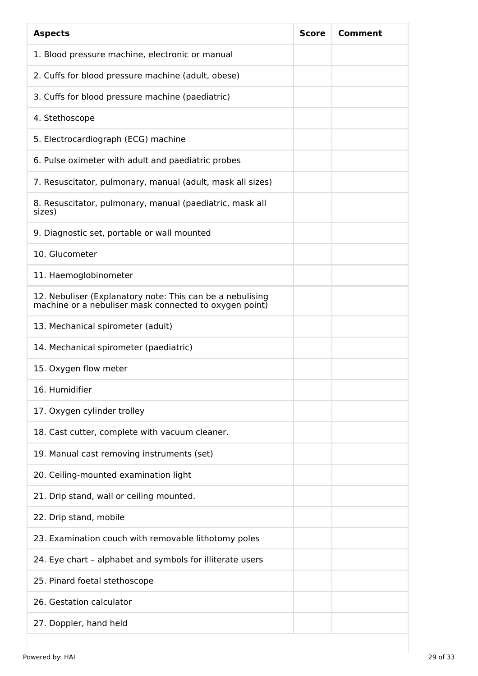| <b>Aspects</b>                                                                                                      | <b>Score</b> | Comment |
|---------------------------------------------------------------------------------------------------------------------|--------------|---------|
| 1. Blood pressure machine, electronic or manual                                                                     |              |         |
| 2. Cuffs for blood pressure machine (adult, obese)                                                                  |              |         |
| 3. Cuffs for blood pressure machine (paediatric)                                                                    |              |         |
| 4. Stethoscope                                                                                                      |              |         |
| 5. Electrocardiograph (ECG) machine                                                                                 |              |         |
| 6. Pulse oximeter with adult and paediatric probes                                                                  |              |         |
| 7. Resuscitator, pulmonary, manual (adult, mask all sizes)                                                          |              |         |
| 8. Resuscitator, pulmonary, manual (paediatric, mask all<br>sizes)                                                  |              |         |
| 9. Diagnostic set, portable or wall mounted                                                                         |              |         |
| 10. Glucometer                                                                                                      |              |         |
| 11. Haemoglobinometer                                                                                               |              |         |
| 12. Nebuliser (Explanatory note: This can be a nebulising<br>machine or a nebuliser mask connected to oxygen point) |              |         |
| 13. Mechanical spirometer (adult)                                                                                   |              |         |
| 14. Mechanical spirometer (paediatric)                                                                              |              |         |
| 15. Oxygen flow meter                                                                                               |              |         |
| 16. Humidifier                                                                                                      |              |         |
| 17. Oxygen cylinder trolley                                                                                         |              |         |
| 18. Cast cutter, complete with vacuum cleaner.                                                                      |              |         |
| 19. Manual cast removing instruments (set)                                                                          |              |         |
| 20. Ceiling-mounted examination light                                                                               |              |         |
| 21. Drip stand, wall or ceiling mounted.                                                                            |              |         |
| 22. Drip stand, mobile                                                                                              |              |         |
| 23. Examination couch with removable lithotomy poles                                                                |              |         |
| 24. Eye chart - alphabet and symbols for illiterate users                                                           |              |         |
| 25. Pinard foetal stethoscope                                                                                       |              |         |
| 26. Gestation calculator                                                                                            |              |         |
| 27. Doppler, hand held                                                                                              |              |         |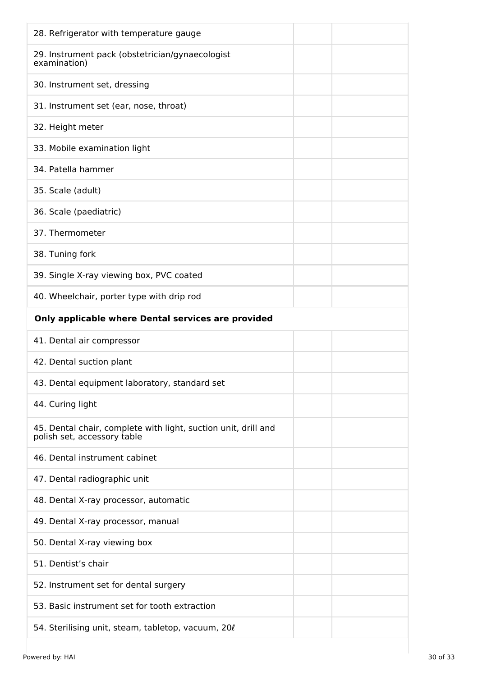| 28. Refrigerator with temperature gauge                                                       |
|-----------------------------------------------------------------------------------------------|
| 29. Instrument pack (obstetrician/gynaecologist<br>examination)                               |
| 30. Instrument set, dressing                                                                  |
| 31. Instrument set (ear, nose, throat)                                                        |
| 32. Height meter                                                                              |
| 33. Mobile examination light                                                                  |
| 34. Patella hammer                                                                            |
| 35. Scale (adult)                                                                             |
| 36. Scale (paediatric)                                                                        |
| 37. Thermometer                                                                               |
| 38. Tuning fork                                                                               |
| 39. Single X-ray viewing box, PVC coated                                                      |
| 40. Wheelchair, porter type with drip rod                                                     |
| Only applicable where Dental services are provided                                            |
|                                                                                               |
| 41. Dental air compressor                                                                     |
| 42. Dental suction plant                                                                      |
| 43. Dental equipment laboratory, standard set                                                 |
| 44. Curing light                                                                              |
| 45. Dental chair, complete with light, suction unit, drill and<br>polish set, accessory table |
| 46. Dental instrument cabinet                                                                 |
| 47. Dental radiographic unit                                                                  |
| 48. Dental X-ray processor, automatic                                                         |
| 49. Dental X-ray processor, manual                                                            |
| 50. Dental X-ray viewing box                                                                  |
| 51. Dentist's chair                                                                           |
| 52. Instrument set for dental surgery                                                         |
| 53. Basic instrument set for tooth extraction                                                 |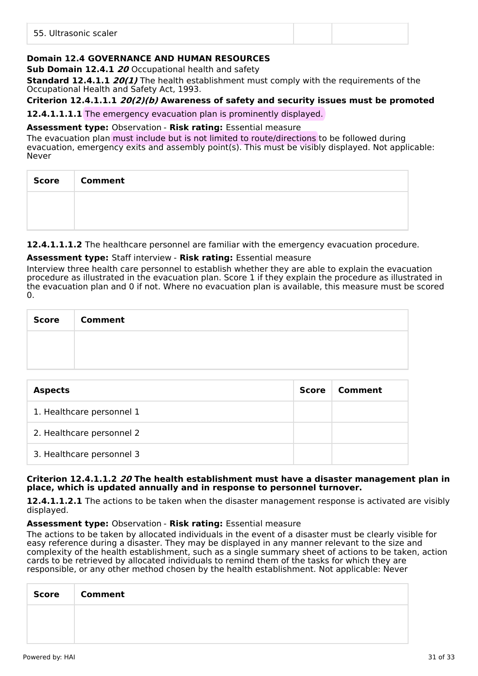| 55. Ultrasonic scaler |  |
|-----------------------|--|
|                       |  |

# **Domain 12.4 GOVERNANCE AND HUMAN RESOURCES**

**Sub Domain 12.4.1 20** Occupational health and safety

**Standard 12.4.1.1 20(1)** The health establishment must comply with the requirements of the Occupational Health and Safety Act, 1993.

# **Criterion 12.4.1.1.1 20(2)(b) Awareness of safety and security issues must be promoted**

**12.4.1.1.1.1** The emergency evacuation plan is prominently displayed.

#### **Assessment type:** Observation - **Risk rating:** Essential measure

The evacuation plan must include but is not limited to route/directions to be followed during evacuation, emergency exits and assembly point(s). This must be visibly displayed. Not applicable: Never

| <b>Score</b> | <b>Comment</b> |
|--------------|----------------|
|              |                |
|              |                |

**12.4.1.1.1.2** The healthcare personnel are familiar with the emergency evacuation procedure.

# **Assessment type:** Staff interview - **Risk rating:** Essential measure

Interview three health care personnel to establish whether they are able to explain the evacuation procedure as illustrated in the evacuation plan. Score 1 if they explain the procedure as illustrated in the evacuation plan and 0 if not. Where no evacuation plan is available, this measure must be scored 0.

| Score | <b>Comment</b> |  |  |
|-------|----------------|--|--|
|       |                |  |  |
|       |                |  |  |

| <b>Aspects</b>            | Score | Comment |
|---------------------------|-------|---------|
| 1. Healthcare personnel 1 |       |         |
| 2. Healthcare personnel 2 |       |         |
| 3. Healthcare personnel 3 |       |         |

#### **Criterion 12.4.1.1.2 20 The health establishment must have a disaster management plan in place, which is updated annually and in response to personnel turnover.**

**12.4.1.1.2.1** The actions to be taken when the disaster management response is activated are visibly displayed.

#### **Assessment type:** Observation - **Risk rating:** Essential measure

The actions to be taken by allocated individuals in the event of a disaster must be clearly visible for easy reference during a disaster. They may be displayed in any manner relevant to the size and complexity of the health establishment, such as a single summary sheet of actions to be taken, action cards to be retrieved by allocated individuals to remind them of the tasks for which they are responsible, or any other method chosen by the health establishment. Not applicable: Never

| <b>Score</b> | <b>Comment</b> |
|--------------|----------------|
|              |                |
|              |                |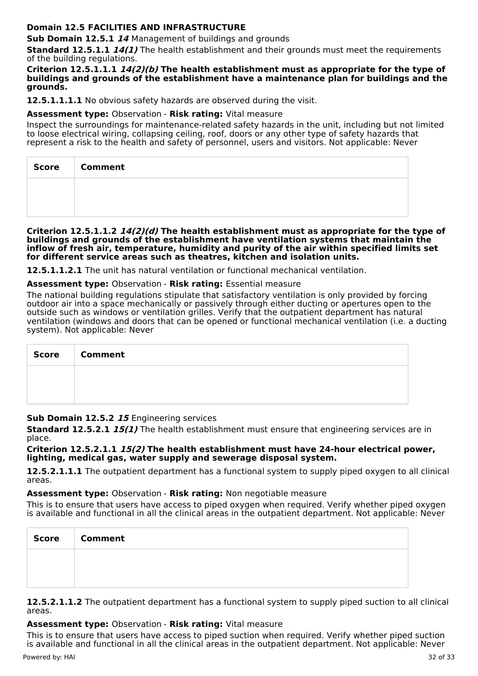# **Domain 12.5 FACILITIES AND INFRASTRUCTURE**

**Sub Domain 12.5.1 14** Management of buildings and grounds

**Standard 12.5.1.1 14(1)** The health establishment and their grounds must meet the requirements of the building regulations.

#### **Criterion 12.5.1.1.1 14(2)(b) The health establishment must as appropriate for the type of buildings and grounds of the establishment have a maintenance plan for buildings and the grounds.**

**12.5.1.1.1.1** No obvious safety hazards are observed during the visit.

#### **Assessment type:** Observation - **Risk rating:** Vital measure

Inspect the surroundings for maintenance-related safety hazards in the unit, including but not limited to loose electrical wiring, collapsing ceiling, roof, doors or any other type of safety hazards that represent a risk to the health and safety of personnel, users and visitors. Not applicable: Never

| Score   Comment |
|-----------------|
|                 |
|                 |

#### **Criterion 12.5.1.1.2 14(2)(d) The health establishment must as appropriate for the type of buildings and grounds of the establishment have ventilation systems that maintain the inflow of fresh air, temperature, humidity and purity of the air within specified limits set for different service areas such as theatres, kitchen and isolation units.**

**12.5.1.1.2.1** The unit has natural ventilation or functional mechanical ventilation.

# **Assessment type:** Observation - **Risk rating:** Essential measure

The national building regulations stipulate that satisfactory ventilation is only provided by forcing outdoor air into a space mechanically or passively through either ducting or apertures open to the outside such as windows or ventilation grilles. Verify that the outpatient department has natural ventilation (windows and doors that can be opened or functional mechanical ventilation (i.e. a ducting system). Not applicable: Never

| Score   Comment |
|-----------------|
|                 |
|                 |

# **Sub Domain 12.5.2 15** Engineering services

**Standard 12.5.2.1 15(1)** The health establishment must ensure that engineering services are in place.

**Criterion 12.5.2.1.1 15(2) The health establishment must have 24-hour electrical power, lighting, medical gas, water supply and sewerage disposal system.**

**12.5.2.1.1.1** The outpatient department has a functional system to supply piped oxygen to all clinical areas.

#### **Assessment type:** Observation - **Risk rating:** Non negotiable measure

This is to ensure that users have access to piped oxygen when required. Verify whether piped oxygen is available and functional in all the clinical areas in the outpatient department. Not applicable: Never

| <b>Score</b> | <b>Comment</b> |
|--------------|----------------|
|              |                |
|              |                |

**12.5.2.1.1.2** The outpatient department has a functional system to supply piped suction to all clinical areas.

# **Assessment type:** Observation - **Risk rating:** Vital measure

This is to ensure that users have access to piped suction when required. Verify whether piped suction is available and functional in all the clinical areas in the outpatient department. Not applicable: Never